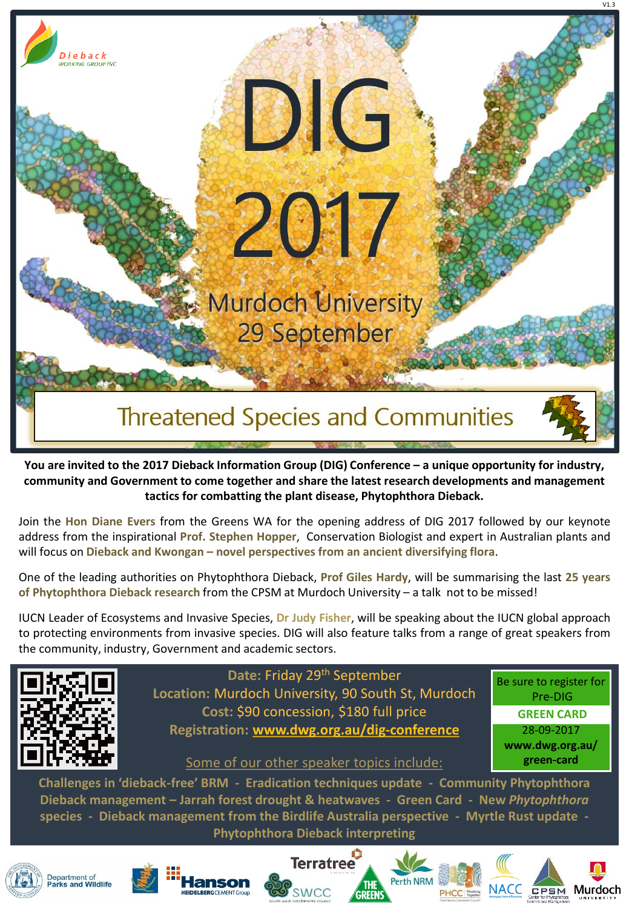

**You are invited to the 2017 Dieback Information Group (DIG) Conference – a unique opportunity for industry, community and Government to come together and share the latest research developments and management tactics for combatting the plant disease, Phytophthora Dieback.** 

Join the **Hon Diane Evers** from the Greens WA for the opening address of DIG 2017 followed by our keynote address from the inspirational **Prof. Stephen Hopper**, Conservation Biologist and expert in Australian plants and will focus on **Dieback and Kwongan – novel perspectives from an ancient diversifying flora**.

One of the leading authorities on Phytophthora Dieback, **Prof Giles Hardy**, will be summarising the last **25 years of Phytophthora Dieback research** from the CPSM at Murdoch University – a talk not to be missed!

IUCN Leader of Ecosystems and Invasive Species, **Dr Judy Fisher**, will be speaking about the IUCN global approach to protecting environments from invasive species. DIG will also feature talks from a range of great speakers from the community, industry, Government and academic sectors.



**Date:** Friday 29th September **Location:** Murdoch University, 90 South St, Murdoch **Cost:** \$90 concession, \$180 full price **Registration: [www.dwg.org.au/dig-conference](http://www.dwg.org.au/dig-conference)**

Be sure to register for Pre-DIG **GREEN CARD**  28-09-2017 **www.dwg.org.au/ green-card** 

## Some of our other speaker topics include:

**Challenges in 'dieback-free' BRM - Eradication techniques update - Community Phytophthora Dieback management – Jarrah forest drought & heatwaves - Green Card - New** *Phytophthora* **species - Dieback management from the Birdlife Australia perspective - Myrtle Rust update - Phytophthora Dieback interpreting**













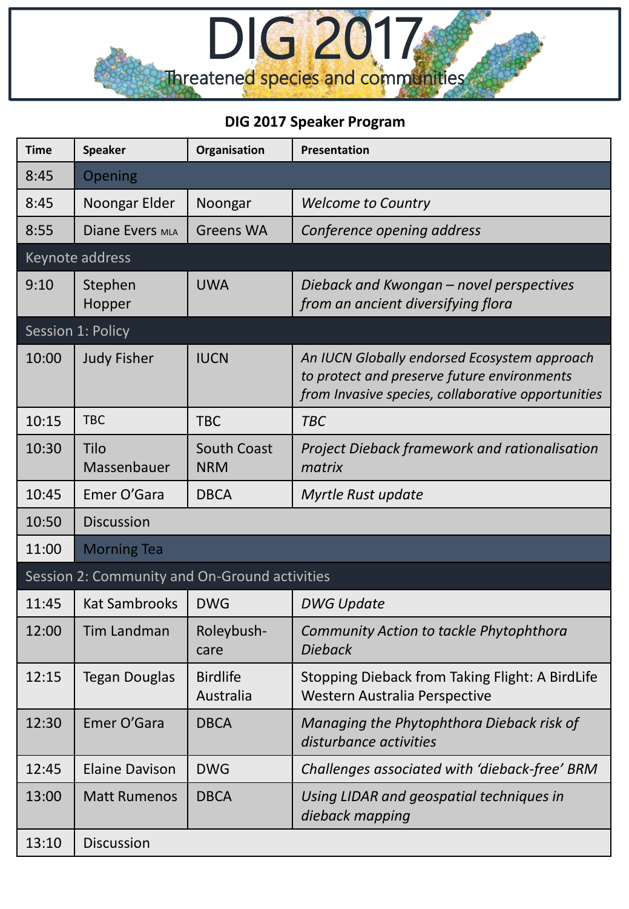

## **DIG 2017 Speaker Program**

| <b>Time</b>                                   | <b>Speaker</b>        | Organisation                     | Presentation                                                                                                                                      |  |  |  |
|-----------------------------------------------|-----------------------|----------------------------------|---------------------------------------------------------------------------------------------------------------------------------------------------|--|--|--|
| 8:45                                          | Opening               |                                  |                                                                                                                                                   |  |  |  |
| 8:45                                          | Noongar Elder         | Noongar                          | <b>Welcome to Country</b>                                                                                                                         |  |  |  |
| 8:55                                          | Diane Evers MLA       | <b>Greens WA</b>                 | Conference opening address                                                                                                                        |  |  |  |
| Keynote address                               |                       |                                  |                                                                                                                                                   |  |  |  |
| 9:10                                          | Stephen<br>Hopper     | <b>UWA</b>                       | Dieback and Kwongan - novel perspectives<br>from an ancient diversifying flora                                                                    |  |  |  |
| Session 1: Policy                             |                       |                                  |                                                                                                                                                   |  |  |  |
| 10:00                                         | <b>Judy Fisher</b>    | <b>IUCN</b>                      | An IUCN Globally endorsed Ecosystem approach<br>to protect and preserve future environments<br>from Invasive species, collaborative opportunities |  |  |  |
| 10:15                                         | <b>TBC</b>            | <b>TBC</b>                       | <b>TBC</b>                                                                                                                                        |  |  |  |
| 10:30                                         | Tilo<br>Massenbauer   | <b>South Coast</b><br><b>NRM</b> | <b>Project Dieback framework and rationalisation</b><br>matrix                                                                                    |  |  |  |
| 10:45                                         | Emer O'Gara           | <b>DBCA</b>                      | Myrtle Rust update                                                                                                                                |  |  |  |
| 10:50                                         | <b>Discussion</b>     |                                  |                                                                                                                                                   |  |  |  |
| 11:00                                         | <b>Morning Tea</b>    |                                  |                                                                                                                                                   |  |  |  |
| Session 2: Community and On-Ground activities |                       |                                  |                                                                                                                                                   |  |  |  |
| 11:45                                         | <b>Kat Sambrooks</b>  | <b>DWG</b>                       | <b>DWG Update</b>                                                                                                                                 |  |  |  |
| 12:00                                         | Tim Landman           | Roleybush-<br>care               | Community Action to tackle Phytophthora<br><b>Dieback</b>                                                                                         |  |  |  |
| 12:15                                         | <b>Tegan Douglas</b>  | <b>Birdlife</b><br>Australia     | Stopping Dieback from Taking Flight: A BirdLife<br>Western Australia Perspective                                                                  |  |  |  |
| 12:30                                         | Emer O'Gara           | <b>DBCA</b>                      | Managing the Phytophthora Dieback risk of<br>disturbance activities                                                                               |  |  |  |
| 12:45                                         | <b>Elaine Davison</b> | <b>DWG</b>                       | Challenges associated with 'dieback-free' BRM                                                                                                     |  |  |  |
| 13:00                                         | <b>Matt Rumenos</b>   | <b>DBCA</b>                      | Using LIDAR and geospatial techniques in<br>dieback mapping                                                                                       |  |  |  |
| 13:10                                         | <b>Discussion</b>     |                                  |                                                                                                                                                   |  |  |  |